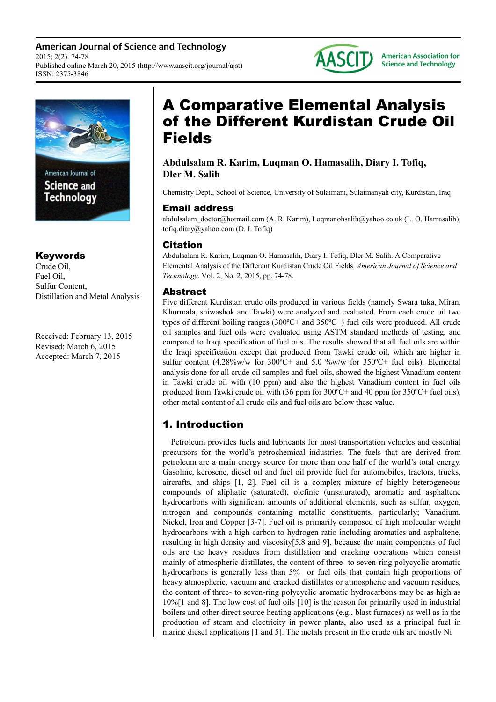**American Journal of Science and Technology** 2015; 2(2): 74-78 Published online March 20, 2015 (http://www.aascit.org/journal/ajst) ISSN: 2375-3846



Science and **Technology** 

# Keywords

Crude Oil, Fuel Oil, Sulfur Content, Distillation and Metal Analysis

Received: February 13, 2015 Revised: March 6, 2015 Accepted: March 7, 2015

# A Comparative Elemental Analysis of the Different Kurdistan Crude Oil Fields

# **Abdulsalam R. Karim, Luqman O. Hamasalih, Diary I. Tofiq, Dler M. Salih**

Chemistry Dept., School of Science, University of Sulaimani, Sulaimanyah city, Kurdistan, Iraq

# Email address

abdulsalam\_doctor@hotmail.com (A. R. Karim), Loqmanohsalih@yahoo.co.uk (L. O. Hamasalih), tofiq.diary@yahoo.com (D. I. Tofiq)

# Citation

Abdulsalam R. Karim, Luqman O. Hamasalih, Diary I. Tofiq, Dler M. Salih. A Comparative Elemental Analysis of the Different Kurdistan Crude Oil Fields. *American Journal of Science and Technology*. Vol. 2, No. 2, 2015, pp. 74-78.

# Abstract

Five different Kurdistan crude oils produced in various fields (namely Swara tuka, Miran, Khurmala, shiwashok and Tawki) were analyzed and evaluated. From each crude oil two types of different boiling ranges (300ºC+ and 350ºC+) fuel oils were produced. All crude oil samples and fuel oils were evaluated using ASTM standard methods of testing, and compared to Iraqi specification of fuel oils. The results showed that all fuel oils are within the Iraqi specification except that produced from Tawki crude oil, which are higher in sulfur content  $(4.28\% \text{w/w}$  for  $300\degree \text{C}$  and  $5.0\% \text{w/w}$  for  $350\degree \text{C}$  fuel oils). Elemental analysis done for all crude oil samples and fuel oils, showed the highest Vanadium content in Tawki crude oil with (10 ppm) and also the highest Vanadium content in fuel oils produced from Tawki crude oil with (36 ppm for 300ºC+ and 40 ppm for 350ºC+ fuel oils), other metal content of all crude oils and fuel oils are below these value.

# 1. Introduction

Petroleum provides fuels and lubricants for most transportation vehicles and essential precursors for the world's petrochemical industries. The fuels that are derived from petroleum are a main energy source for more than one half of the world's total energy. Gasoline, kerosene, diesel oil and fuel oil provide fuel for automobiles, tractors, trucks, aircrafts, and ships [1, 2]. Fuel oil is a complex mixture of highly heterogeneous compounds of aliphatic (saturated), olefinic (unsaturated), aromatic and asphaltene hydrocarbons with significant amounts of additional elements, such as sulfur, oxygen, nitrogen and compounds containing metallic constituents, particularly; Vanadium, Nickel, Iron and Copper [3-7]. Fuel oil is primarily composed of high molecular weight hydrocarbons with a high carbon to hydrogen ratio including aromatics and asphaltene, resulting in high density and viscosity[5,8 and 9], because the main components of fuel oils are the heavy residues from distillation and cracking operations which consist mainly of atmospheric distillates, the content of three- to seven-ring polycyclic aromatic hydrocarbons is generally less than 5% or fuel oils that contain high proportions of heavy atmospheric, vacuum and cracked distillates or atmospheric and vacuum residues, the content of three- to seven-ring polycyclic aromatic hydrocarbons may be as high as 10%[1 and 8]. The low cost of fuel oils [10] is the reason for primarily used in industrial boilers and other direct source heating applications (e.g., blast furnaces) as well as in the production of steam and electricity in power plants, also used as a principal fuel in marine diesel applications [1 and 5]. The metals present in the crude oils are mostly Ni



**American Association for Science and Technology**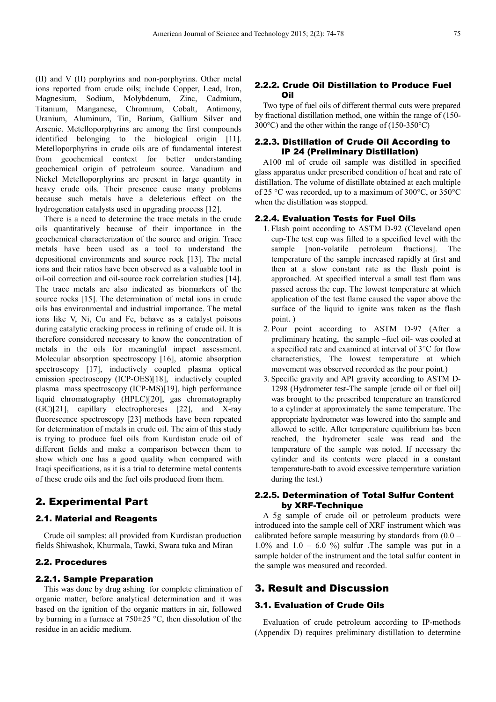(II) and V (II) porphyrins and non-porphyrins. Other metal ions reported from crude oils; include Copper, Lead, Iron, Magnesium, Sodium, Molybdenum, Zinc, Cadmium, Titanium, Manganese, Chromium, Cobalt, Antimony, Uranium, Aluminum, Tin, Barium, Gallium Silver and Arsenic. Metelloporphyrins are among the first compounds identified belonging to the biological origin [11]. Metelloporphyrins in crude oils are of fundamental interest from geochemical context for better understanding geochemical origin of petroleum source. Vanadium and Nickel Metelloporphyrins are present in large quantity in heavy crude oils. Their presence cause many problems because such metals have a deleterious effect on the hydrogenation catalysts used in upgrading process [12].

There is a need to determine the trace metals in the crude oils quantitatively because of their importance in the geochemical characterization of the source and origin. Trace metals have been used as a tool to understand the depositional environments and source rock [13]. The metal ions and their ratios have been observed as a valuable tool in oil-oil correction and oil-source rock correlation studies [14]. The trace metals are also indicated as biomarkers of the source rocks [15]. The determination of metal ions in crude oils has environmental and industrial importance. The metal ions like V, Ni, Cu and Fe, behave as a catalyst poisons during catalytic cracking process in refining of crude oil. It is therefore considered necessary to know the concentration of metals in the oils for meaningful impact assessment. Molecular absorption spectroscopy [16], atomic absorption spectroscopy [17], inductively coupled plasma optical emission spectroscopy (ICP-OES)[18], inductively coupled plasma mass spectroscopy (ICP-MS)[19], high performance liquid chromatography (HPLC)[20], gas chromatography (GC)[21], capillary electrophoreses [22], and X-ray fluorescence spectroscopy [23] methods have been repeated for determination of metals in crude oil. The aim of this study is trying to produce fuel oils from Kurdistan crude oil of different fields and make a comparison between them to show which one has a good quality when compared with Iraqi specifications, as it is a trial to determine metal contents of these crude oils and the fuel oils produced from them.

### 2. Experimental Part

#### 2.1. Material and Reagents

Crude oil samples: all provided from Kurdistan production fields Shiwashok, Khurmala, Tawki, Swara tuka and Miran

#### 2.2. Procedures

#### 2.2.1. Sample Preparation

This was done by drug ashing for complete elimination of organic matter, before analytical determination and it was based on the ignition of the organic matters in air, followed by burning in a furnace at 750±25 °C, then dissolution of the residue in an acidic medium.

#### 2.2.2. Crude Oil Distillation to Produce Fuel Oil

Two type of fuel oils of different thermal cuts were prepared by fractional distillation method, one within the range of (150- 300°C) and the other within the range of (150-350°C)

#### 2.2.3. Distillation of Crude Oil According to IP 24 (Preliminary Distillation)

A100 ml of crude oil sample was distilled in specified glass apparatus under prescribed condition of heat and rate of distillation. The volume of distillate obtained at each multiple of 25 °C was recorded, up to a maximum of 300°C, or 350°C when the distillation was stopped.

#### 2.2.4. Evaluation Tests for Fuel Oils

- 1. Flash point according to ASTM D-92 (Cleveland open cup-The test cup was filled to a specified level with the sample [non-volatile petroleum fractions]. The temperature of the sample increased rapidly at first and then at a slow constant rate as the flash point is approached. At specified interval a small test flam was passed across the cup. The lowest temperature at which application of the test flame caused the vapor above the surface of the liquid to ignite was taken as the flash point. )
- 2. Pour point according to ASTM D-97 (After a preliminary heating, the sample –fuel oil- was cooled at a specified rate and examined at interval of 3°C for flow characteristics, The lowest temperature at which movement was observed recorded as the pour point.)
- 3. Specific gravity and API gravity according to ASTM D-1298 (Hydrometer test-The sample [crude oil or fuel oil] was brought to the prescribed temperature an transferred to a cylinder at approximately the same temperature. The appropriate hydrometer was lowered into the sample and allowed to settle. After temperature equilibrium has been reached, the hydrometer scale was read and the temperature of the sample was noted. If necessary the cylinder and its contents were placed in a constant temperature-bath to avoid excessive temperature variation during the test.)

#### 2.2.5. Determination of Total Sulfur Content by XRF-Technique

A 5g sample of crude oil or petroleum products were introduced into the sample cell of XRF instrument which was calibrated before sample measuring by standards from  $(0.0 -$ 1.0% and  $1.0 - 6.0$  %) sulfur . The sample was put in a sample holder of the instrument and the total sulfur content in the sample was measured and recorded.

# 3. Result and Discussion

#### 3.1. Evaluation of Crude Oils

Evaluation of crude petroleum according to IP-methods (Appendix D) requires preliminary distillation to determine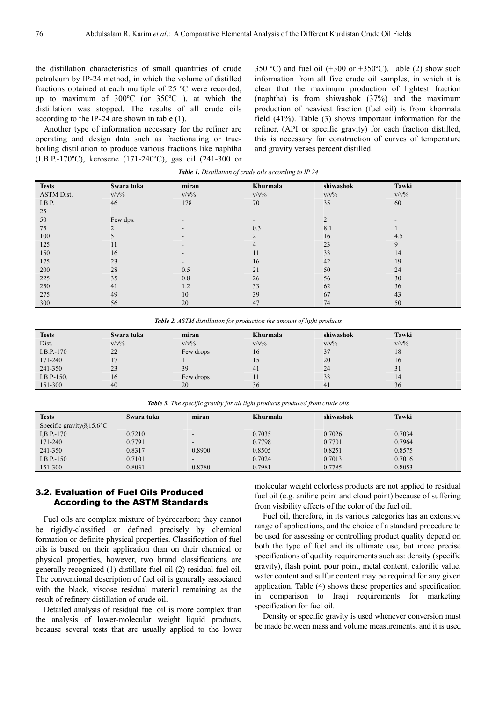the distillation characteristics of small quantities of crude petroleum by IP-24 method, in which the volume of distilled fractions obtained at each multiple of 25 ºC were recorded, up to maximum of 300ºC (or 350ºC ), at which the distillation was stopped. The results of all crude oils according to the IP-24 are shown in table (1).

Another type of information necessary for the refiner are operating and design data such as fractionating or trueboiling distillation to produce various fractions like naphtha (I.B.P.-170ºC), kerosene (171-240ºC), gas oil (241-300 or 350 °C) and fuel oil  $(+300 \text{ or } +350 \text{°C})$ . Table (2) show such information from all five crude oil samples, in which it is clear that the maximum production of lightest fraction (naphtha) is from shiwashok (37%) and the maximum production of heaviest fraction (fuel oil) is from khormala field (41%). Table (3) shows important information for the refiner, (API or specific gravity) for each fraction distilled, this is necessary for construction of curves of temperature and gravity verses percent distilled.

| <b>Tests</b>      | Swara tuka | miran   | Khurmala | shiwashok | Tawki   |
|-------------------|------------|---------|----------|-----------|---------|
| <b>ASTM Dist.</b> | $V/V\%$    | $V/V\%$ | $V/V\%$  | $V/V\%$   | $V/V\%$ |
| I.B.P.            | 46         | 178     | 70       | 35        | 60      |
| 25                |            |         |          |           | -       |
| 50                | Few dps.   |         |          |           |         |
| 75                |            |         | 0.3      | 8.1       |         |
| 100               |            |         |          | 16        | 4.5     |
| 125               | 11         |         |          | 23        | 9       |
| 150               | 16         |         | 11       | 33        | 14      |
| 175               | 23         |         | 16       | 42        | 19      |
| 200               | 28         | 0.5     | 21       | 50        | 24      |
| 225               | 35         | 0.8     | 26       | 56        | 30      |
| 250               | 41         | 1.2     | 33       | 62        | 36      |
| 275               | 49         | 10      | 39       | 67        | 43      |
| 300               | 56         | 20      | 47       | 74        | 50      |

*Table 1. Distillation of crude oils according to IP 24* 

*Table 2. ASTM distillation for production the amount of light products* 

| <b>Tests</b> | Swara tuka | miran     | Khurmala | shiwashok | Tawki   |
|--------------|------------|-----------|----------|-----------|---------|
| Dist.        | $V/V\%$    | $V/V\%$   | $V/V\%$  | $V/V\%$   | $V/V\%$ |
| $I.B.P.-170$ | 22         | Few drops | 16       |           | 18      |
| 171-240      |            |           |          | 20        | 16      |
| 241-350      | 23         | 39        | 41       | 24        | 31      |
| I.B.P-150.   | 16         | Few drops | 1 I      | 33        | 14      |
| 151-300      | 40         | 20        | 36       | 41        | 36      |

*Table 3. The specific gravity for all light products produced from crude oils* 

| <b>Tests</b>                | Swara tuka | miran          | <b>Khurmala</b> | shiwashok | Tawki  |
|-----------------------------|------------|----------------|-----------------|-----------|--------|
| Specific gravity $@15.6$ °C |            |                |                 |           |        |
| $I, B. P. -170$             | 0.7210     | $\sim$         | 0.7035          | 0.7026    | 0.7034 |
| 171-240                     | 0.7791     | $\sim$         | 0.7798          | 0.7701    | 0.7964 |
| 241-350                     | 0.8317     | 0.8900         | 0.8505          | 0.8251    | 0.8575 |
| $I.B.P.-150$                | 0.7101     | $\blacksquare$ | 0.7024          | 0.7013    | 0.7016 |
| 151-300                     | 0.8031     | 0.8780         | 0.7981          | 0.7785    | 0.8053 |

#### 3.2. Evaluation of Fuel Oils Produced According to the ASTM Standards

Fuel oils are complex mixture of hydrocarbon; they cannot be rigidly-classified or defined precisely by chemical formation or definite physical properties. Classification of fuel oils is based on their application than on their chemical or physical properties, however, two brand classifications are generally recognized (1) distillate fuel oil (2) residual fuel oil. The conventional description of fuel oil is generally associated with the black, viscose residual material remaining as the result of refinery distillation of crude oil.

Detailed analysis of residual fuel oil is more complex than the analysis of lower-molecular weight liquid products, because several tests that are usually applied to the lower molecular weight colorless products are not applied to residual fuel oil (e.g. aniline point and cloud point) because of suffering from visibility effects of the color of the fuel oil.

Fuel oil, therefore, in its various categories has an extensive range of applications, and the choice of a standard procedure to be used for assessing or controlling product quality depend on both the type of fuel and its ultimate use, but more precise specifications of quality requirements such as: density (specific gravity), flash point, pour point, metal content, calorific value, water content and sulfur content may be required for any given application. Table (4) shows these properties and specification in comparison to Iraqi requirements for marketing specification for fuel oil.

Density or specific gravity is used whenever conversion must be made between mass and volume measurements, and it is used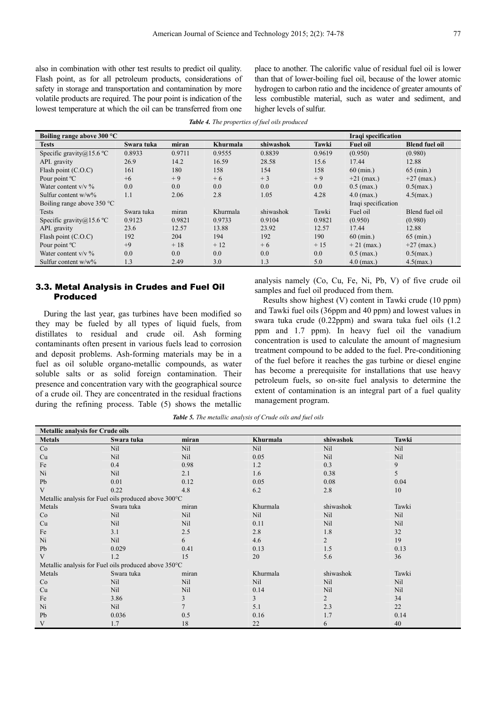also in combination with other test results to predict oil quality. Flash point, as for all petroleum products, considerations of safety in storage and transportation and contamination by more volatile products are required. The pour point is indication of the lowest temperature at which the oil can be transferred from one place to another. The calorific value of residual fuel oil is lower than that of lower-boiling fuel oil, because of the lower atomic hydrogen to carbon ratio and the incidence of greater amounts of less combustible material, such as water and sediment, and higher levels of sulfur.

*Table 4. The properties of fuel oils produced* 

| Boiling range above 300 °C          |            |        |          |           |        | Iraqi specification |                       |
|-------------------------------------|------------|--------|----------|-----------|--------|---------------------|-----------------------|
| <b>Tests</b>                        | Swara tuka | miran  | Khurmala | shiwashok | Tawki  | <b>Fuel oil</b>     | <b>Blend fuel oil</b> |
| Specific gravity $(a)$ 15.6 °C      | 0.8933     | 0.9711 | 0.9555   | 0.8839    | 0.9619 | (0.950)             | (0.980)               |
| API. gravity                        | 26.9       | 14.2   | 16.59    | 28.58     | 15.6   | 17.44               | 12.88                 |
| Flash point $(C.O.C)$               | 161        | 180    | 158      | 154       | 158    | $60 \, (min.)$      | 65 (min.)             |
| Pour point <sup>o</sup> C           | $+6$       | $+9$   | $+6$     | $+3$      | $+9$   | $+21$ (max.)        | $+27$ (max.)          |
| Water content $v/v$ %               | 0.0        | 0.0    | 0.0      | 0.0       | 0.0    | $0.5$ (max.)        | $0.5$ (max.)          |
| Sulfur content $w/w\%$              | 1.1        | 2.06   | 2.8      | 1.05      | 4.28   | $4.0$ (max.)        | $4.5$ (max.)          |
| Boiling range above $350^{\circ}$ C |            |        |          |           |        | Iraqi specification |                       |
| <b>Tests</b>                        | Swara tuka | miran  | Khurmala | shiwashok | Tawki  | Fuel oil            | Blend fuel oil        |
| Specific gravity $a$ 15.6 °C        | 0.9123     | 0.9821 | 0.9733   | 0.9104    | 0.9821 | (0.950)             | (0.980)               |
| API. gravity                        | 23.6       | 12.57  | 13.88    | 23.92     | 12.57  | 17.44               | 12.88                 |
| Flash point $(C.O.C)$               | 192        | 204    | 194      | 192       | 190    | $60 \, (min.)$      | $65 \, (min.)$        |
| Pour point °C                       | $+9$       | $+18$  | $+12$    | $+6$      | $+15$  | $+21$ (max.)        | $+27$ (max.)          |
| Water content $v/v$ %               | 0.0        | 0.0    | 0.0      | 0.0       | 0.0    | $0.5$ (max.)        | $0.5$ (max.)          |
| Sulfur content $w/w\%$              | 1.3        | 2.49   | 3.0      | 1.3       | 5.0    | $4.0$ (max.)        | $4.5$ (max.)          |

#### 3.3. Metal Analysis in Crudes and Fuel Oil Produced

During the last year, gas turbines have been modified so they may be fueled by all types of liquid fuels, from distillates to residual and crude oil. Ash forming contaminants often present in various fuels lead to corrosion and deposit problems. Ash-forming materials may be in a fuel as oil soluble organo-metallic compounds, as water soluble salts or as solid foreign contamination. Their presence and concentration vary with the geographical source of a crude oil. They are concentrated in the residual fractions during the refining process. Table (5) shows the metallic

analysis namely (Co, Cu, Fe, Ni, Pb, V) of five crude oil samples and fuel oil produced from them.

Results show highest (V) content in Tawki crude (10 ppm) and Tawki fuel oils (36ppm and 40 ppm) and lowest values in swara tuka crude (0.22ppm) and swara tuka fuel oils (1.2 ppm and 1.7 ppm). In heavy fuel oil the vanadium concentration is used to calculate the amount of magnesium treatment compound to be added to the fuel. Pre-conditioning of the fuel before it reaches the gas turbine or diesel engine has become a prerequisite for installations that use heavy petroleum fuels, so on-site fuel analysis to determine the extent of contamination is an integral part of a fuel quality management program.

| <b>Metallic analysis for Crude oils</b> |                                                      |       |          |                |       |  |  |
|-----------------------------------------|------------------------------------------------------|-------|----------|----------------|-------|--|--|
| <b>Metals</b>                           | Swara tuka                                           | miran | Khurmala | shiwashok      | Tawki |  |  |
| Co                                      | Nil                                                  | Nil   | Nil      | Nil            | Nil   |  |  |
| Cu                                      | Nil                                                  | Nil   | 0.05     | Nil            | Nil   |  |  |
| Fe                                      | 0.4                                                  | 0.98  | 1.2      | 0.3            | 9     |  |  |
| Ni                                      | Nil                                                  | 2.1   | 1.6      | 0.38           | 5     |  |  |
| Pb                                      | 0.01                                                 | 0.12  | 0.05     | 0.08           | 0.04  |  |  |
| V                                       | 0.22                                                 | 4.8   | 6.2      | 2.8            | 10    |  |  |
|                                         | Metallic analysis for Fuel oils produced above 300°C |       |          |                |       |  |  |
| Metals                                  | Swara tuka                                           | miran | Khurmala | shiwashok      | Tawki |  |  |
| Co                                      | Nil                                                  | Nil   | Nil      | Nil            | Nil   |  |  |
| Cu                                      | Nil                                                  | Nil   | 0.11     | Nil            | Nil   |  |  |
| Fe                                      | 3.1                                                  | 2.5   | 2.8      | 1.8            | 32    |  |  |
| Ni                                      | <b>Nil</b>                                           | 6     | 4.6      | $\overline{2}$ | 19    |  |  |
| Pb                                      | 0.029                                                | 0.41  | 0.13     | 1.5            | 0.13  |  |  |
| V                                       | 1.2                                                  | 15    | 20       | 5.6            | 36    |  |  |
|                                         | Metallic analysis for Fuel oils produced above 350°C |       |          |                |       |  |  |
| Metals                                  | Swara tuka                                           | miran | Khurmala | shiwashok      | Tawki |  |  |
| Co                                      | Nil                                                  | Nil   | Nil      | Nil            | Nil   |  |  |
| Cu                                      | Nil                                                  | Nil   | 0.14     | Nil            | Nil   |  |  |
| Fe                                      | 3.86                                                 | 3     | 3        | $\overline{2}$ | 34    |  |  |
| Ni                                      | Nil                                                  |       | 5.1      | 2.3            | 22    |  |  |
| Pb                                      | 0.036                                                | 0.5   | 0.16     | 1.7            | 0.14  |  |  |
| V                                       | 1.7                                                  | 18    | 22       | 6              | 40    |  |  |

*Table 5. The metallic analysis of Crude oils and fuel oils*